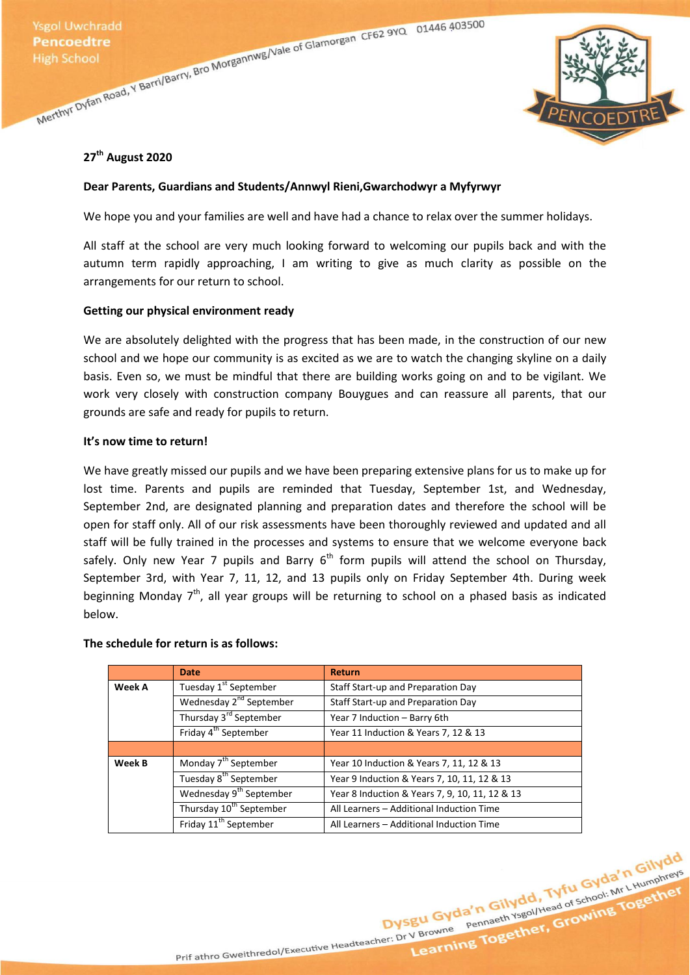

## **27th August 2020**

## **Dear Parents, Guardians and Students/Annwyl Rieni,Gwarchodwyr a Myfyrwyr**

We hope you and your families are well and have had a chance to relax over the summer holidays.

All staff at the school are very much looking forward to welcoming our pupils back and with the autumn term rapidly approaching, I am writing to give as much clarity as possible on the arrangements for our return to school.

## **Getting our physical environment ready**

We are absolutely delighted with the progress that has been made, in the construction of our new school and we hope our community is as excited as we are to watch the changing skyline on a daily basis. Even so, we must be mindful that there are building works going on and to be vigilant. We work very closely with construction company Bouygues and can reassure all parents, that our grounds are safe and ready for pupils to return.

### **It's now time to return!**

We have greatly missed our pupils and we have been preparing extensive plans for us to make up for lost time. Parents and pupils are reminded that Tuesday, September 1st, and Wednesday, September 2nd, are designated planning and preparation dates and therefore the school will be open for staff only. All of our risk assessments have been thoroughly reviewed and updated and all staff will be fully trained in the processes and systems to ensure that we welcome everyone back safely. Only new Year 7 pupils and Barry  $6<sup>th</sup>$  form pupils will attend the school on Thursday, September 3rd, with Year 7, 11, 12, and 13 pupils only on Friday September 4th. During week beginning Monday  $7<sup>th</sup>$ , all year groups will be returning to school on a phased basis as indicated below.

### **The schedule for return is as follows:**

|        | <b>Date</b>                         | <b>Return</b>                                  |
|--------|-------------------------------------|------------------------------------------------|
| Week A | Tuesday 1 <sup>st</sup> September   | Staff Start-up and Preparation Day             |
|        | Wednesday 2 <sup>nd</sup> September | Staff Start-up and Preparation Day             |
|        | Thursday 3 <sup>rd</sup> September  | Year 7 Induction - Barry 6th                   |
|        | Friday 4 <sup>th</sup> September    | Year 11 Induction & Years 7, 12 & 13           |
|        |                                     |                                                |
| Week B | Monday 7 <sup>th</sup> September    | Year 10 Induction & Years 7, 11, 12 & 13       |
|        | Tuesday 8 <sup>th</sup> September   | Year 9 Induction & Years 7, 10, 11, 12 & 13    |
|        | Wednesday 9 <sup>th</sup> September | Year 8 Induction & Years 7, 9, 10, 11, 12 & 13 |
|        | Thursday 10 <sup>th</sup> September | All Learners - Additional Induction Time       |
|        | Friday 11 <sup>th</sup> September   | All Learners - Additional Induction Time       |

Dysgu Gyda'n Gilydd, Tyfu Gyda'n Gilydd<br>Dysgu Gyda'n Gilydd, Tyfu Gyda'n Gilydd<br>Dysgu Gyda'n Gilydd, Tyfu Gyda'n Gilydd<br>Pennaeth Ysgol/Head of School: Mr LHumphreys

Prif athro Gweithredol/Executive Headteacher: Dr V Browne Pennaeth Ysgol/Head of School: Mr L Humphreys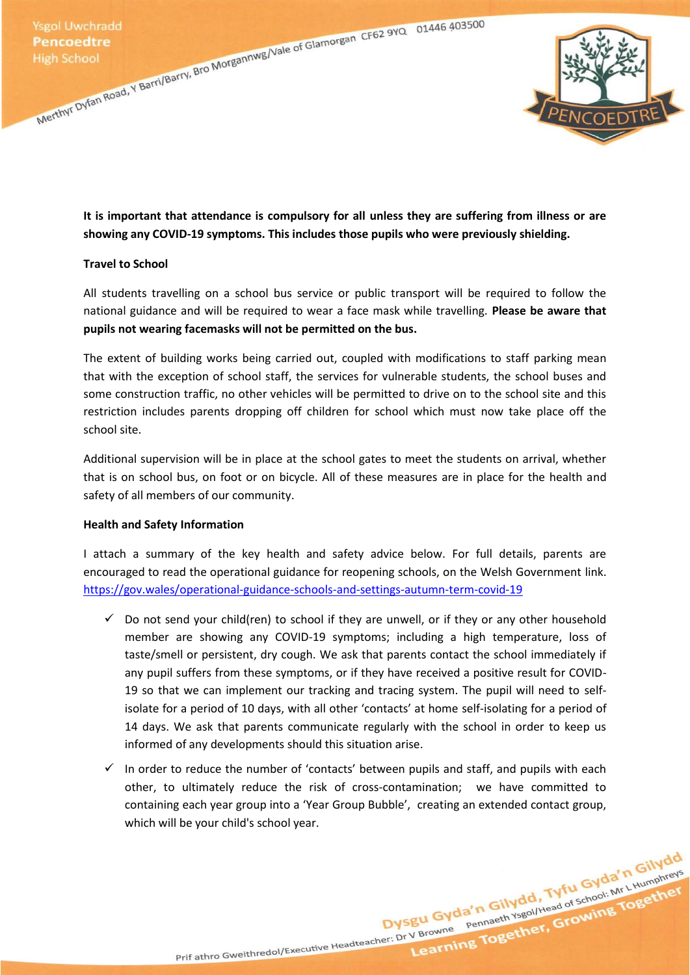

**It is important that attendance is compulsory for all unless they are suffering from illness or are showing any COVID-19 symptoms. This includes those pupils who were previously shielding.**

### **Travel to School**

All students travelling on a school bus service or public transport will be required to follow the national guidance and will be required to wear a face mask while travelling. **Please be aware that pupils not wearing facemasks will not be permitted on the bus.**

The extent of building works being carried out, coupled with modifications to staff parking mean that with the exception of school staff, the services for vulnerable students, the school buses and some construction traffic, no other vehicles will be permitted to drive on to the school site and this restriction includes parents dropping off children for school which must now take place off the school site.

Additional supervision will be in place at the school gates to meet the students on arrival, whether that is on school bus, on foot or on bicycle. All of these measures are in place for the health and safety of all members of our community.

### **Health and Safety Information**

I attach a summary of the key health and safety advice below. For full details, parents are encouraged to read the operational guidance for reopening schools, on the Welsh Government link. <https://gov.wales/operational-guidance-schools-and-settings-autumn-term-covid-19>

- $\checkmark$  Do not send your child(ren) to school if they are unwell, or if they or any other household member are showing any COVID-19 symptoms; including a high temperature, loss of taste/smell or persistent, dry cough. We ask that parents contact the school immediately if any pupil suffers from these symptoms, or if they have received a positive result for COVID-19 so that we can implement our tracking and tracing system. The pupil will need to selfisolate for a period of 10 days, with all other 'contacts' at home self-isolating for a period of 14 days. We ask that parents communicate regularly with the school in order to keep us informed of any developments should this situation arise.
- $\checkmark$  In order to reduce the number of 'contacts' between pupils and staff, and pupils with each other, to ultimately reduce the risk of cross-contamination; we have committed to containing each year group into a 'Year Group Bubble', creating an extended contact group, which will be your child's school year.

Prif athro Gweithredol/Executive Headteacher: Dr V Browne Pennaeth Ysgol/Head of School: Mr L Humphreys

Dysgu Gyda'n Gilydd, Tyfu Gyda'n Gilydd<br>Dysgu Gyda'n Gilydd, Tyfu Gyda'n Gilydd<br>Dysgu Gyda'n Gilydd, Tyfu Gyda'n Gilydd<br>Pennaeth Ysgollitead of School: Mr Litumphreys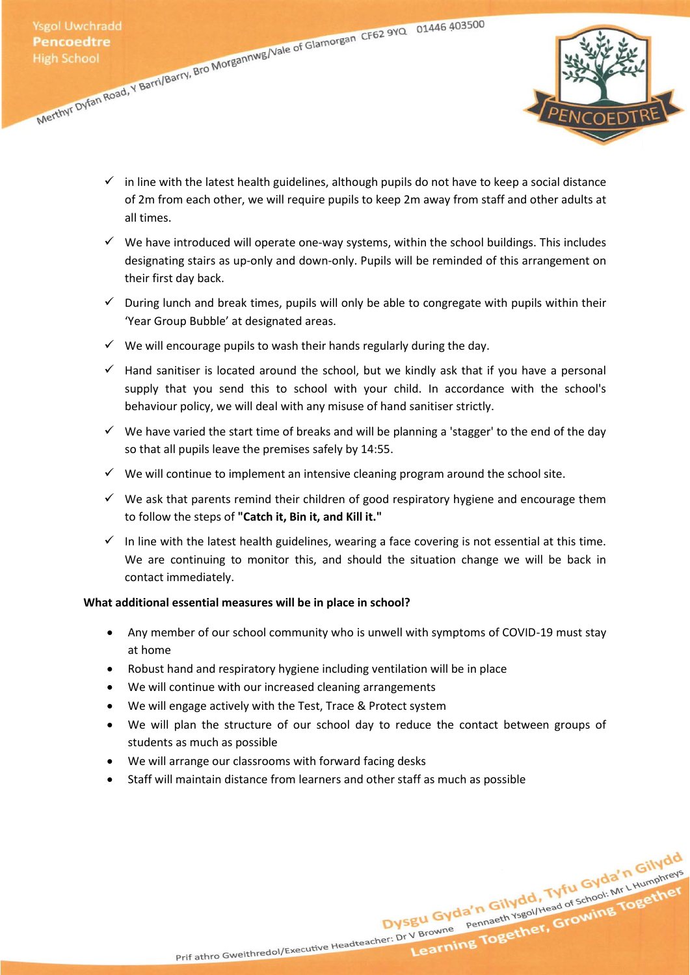

- $\checkmark$  in line with the latest health guidelines, although pupils do not have to keep a social distance of 2m from each other, we will require pupils to keep 2m away from staff and other adults at all times.
- $\checkmark$  We have introduced will operate one-way systems, within the school buildings. This includes designating stairs as up-only and down-only. Pupils will be reminded of this arrangement on their first day back.
- $\checkmark$  During lunch and break times, pupils will only be able to congregate with pupils within their 'Year Group Bubble' at designated areas.
- $\checkmark$  We will encourage pupils to wash their hands regularly during the day.
- $\checkmark$  Hand sanitiser is located around the school, but we kindly ask that if you have a personal supply that you send this to school with your child. In accordance with the school's behaviour policy, we will deal with any misuse of hand sanitiser strictly.
- $\checkmark$  We have varied the start time of breaks and will be planning a 'stagger' to the end of the day so that all pupils leave the premises safely by 14:55.
- $\checkmark$  We will continue to implement an intensive cleaning program around the school site.
- $\checkmark$  We ask that parents remind their children of good respiratory hygiene and encourage them to follow the steps of **"Catch it, Bin it, and Kill it."**
- $\checkmark$  In line with the latest health guidelines, wearing a face covering is not essential at this time. We are continuing to monitor this, and should the situation change we will be back in contact immediately.

### **What additional essential measures will be in place in school?**

- Any member of our school community who is unwell with symptoms of COVID-19 must stay at home
- Robust hand and respiratory hygiene including ventilation will be in place
- We will continue with our increased cleaning arrangements
- We will engage actively with the Test, Trace & Protect system
- We will plan the structure of our school day to reduce the contact between groups of students as much as possible
- We will arrange our classrooms with forward facing desks
- Staff will maintain distance from learners and other staff as much as possible

Dysgu Gyda'n Gilydd, Tyfu Gyda'n Gilydd<br>Dysgu Gyda'n Gilydd, Tyfu Gyda'n Gilydd<br>Dysgu Gyda'n Gilydd, Tyfu Gyda'n Gilydd<br>Pennaeth Ysgol/Head of School: Mr. Litumphreys Prif athro Gweithredol/Executive Headteacher: Dr V Browne Pennaeth Ysgol/Head of School: Mr L Humphreys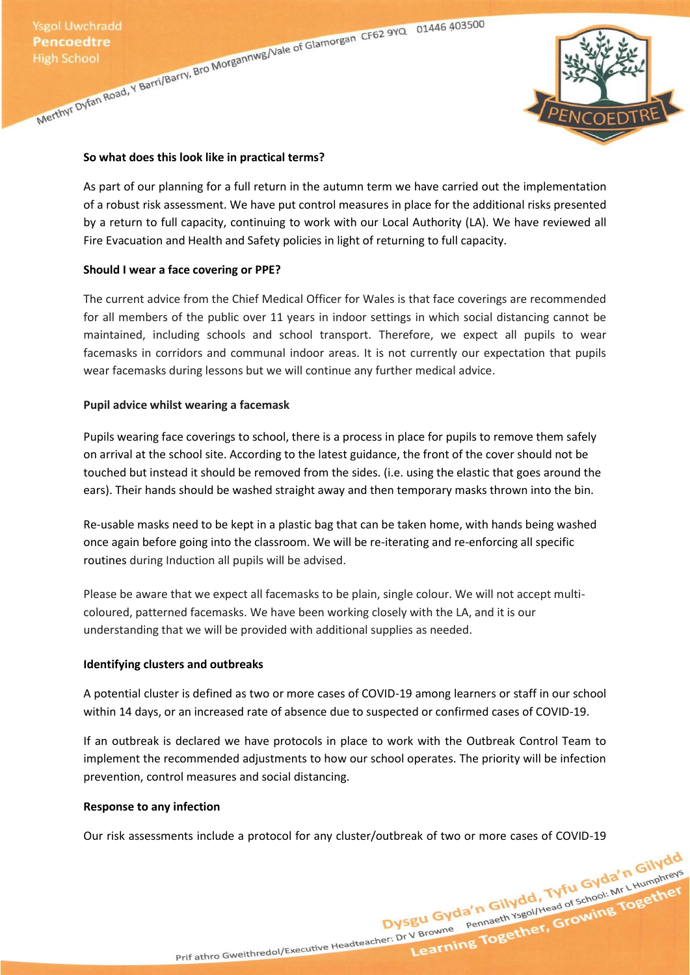

### **So what does this look like in practical terms?**

As part of our planning for a full return in the autumn term we have carried out the implementation of a robust risk assessment. We have put control measures in place for the additional risks presented by a return to full capacity, continuing to work with our Local Authority (LA). We have reviewed all Fire Evacuation and Health and Safety policies in light of returning to full capacity.

### **Should I wear a face covering or PPE?**

The current advice from the Chief Medical Officer for Wales is that face coverings are recommended for all members of the public over 11 years in indoor settings in which social distancing cannot be maintained, including schools and school transport. Therefore, we expect all pupils to wear facemasks in corridors and communal indoor areas. It is not currently our expectation that pupils wear facemasks during lessons but we will continue any further medical advice.

### **Pupil advice whilst wearing a facemask**

Pupils wearing face coverings to school, there is a process in place for pupils to remove them safely on arrival at the school site. According to the latest guidance, the front of the cover should not be touched but instead it should be removed from the sides. (i.e. using the elastic that goes around the ears). Their hands should be washed straight away and then temporary masks thrown into the bin.

Re-usable masks need to be kept in a plastic bag that can be taken home, with hands being washed once again before going into the classroom. We will be re-iterating and re-enforcing all specific routines during Induction all pupils will be advised.

Please be aware that we expect all facemasks to be plain, single colour. We will not accept multicoloured, patterned facemasks. We have been working closely with the LA, and it is our understanding that we will be provided with additional supplies as needed.

### **Identifying clusters and outbreaks**

A potential cluster is defined as two or more cases of COVID-19 among learners or staff in our school within 14 days, or an increased rate of absence due to suspected or confirmed cases of COVID-19.

If an outbreak is declared we have protocols in place to work with the Outbreak Control Team to implement the recommended adjustments to how our school operates. The priority will be infection prevention, control measures and social distancing.

### **Response to any infection**

Our risk assessments include a protocol for any cluster/outbreak of two or more cases of COVID-19

Prif athro Gweithredol/Executive Headteacher: Dr V Browne Pennaeth Ysgol/Head of School: Mr L Humphreys

Dysgu Gyda'n Gilydd, Tyfu Gyda'n Gilydd<br>Dysgu Gyda'n Gilydd, Tyfu Gyda'n Gilydd<br>Dysgu Gyda'n Gilydd, Tyfu Gyda'n Gilydd<br>Pennaeth Ysgol/Head of School: Mr. Lillimphreys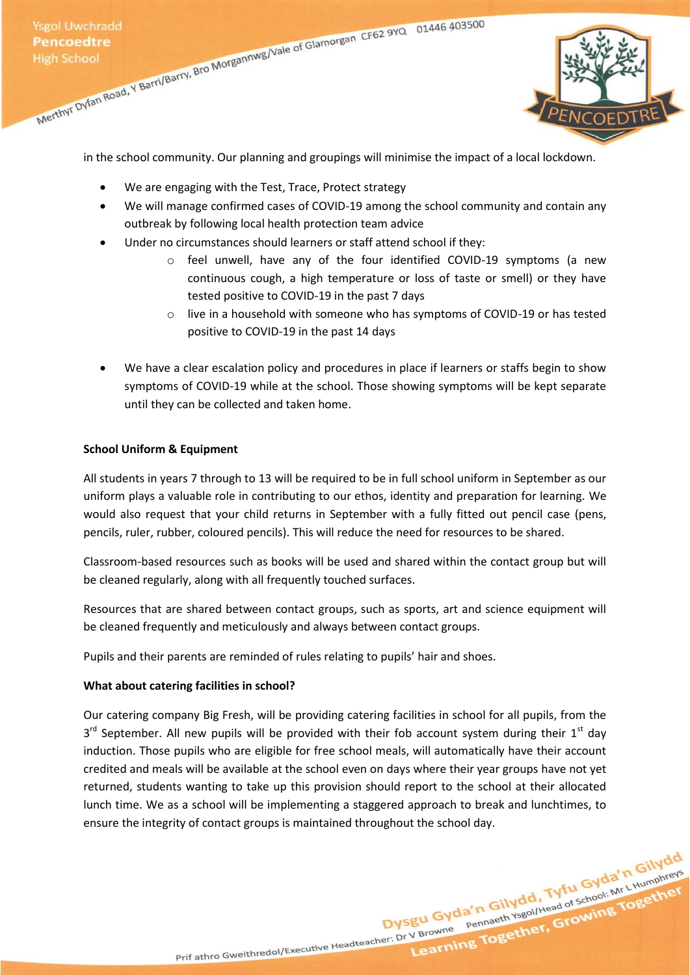

in the school community. Our planning and groupings will minimise the impact of a local lockdown.

- We are engaging with the Test, Trace, Protect strategy
- We will manage confirmed cases of COVID-19 among the school community and contain any outbreak by following local health protection team advice
- Under no circumstances should learners or staff attend school if they:
	- $\circ$  feel unwell, have any of the four identified COVID-19 symptoms (a new continuous cough, a high temperature or loss of taste or smell) or they have tested positive to COVID-19 in the past 7 days
	- $\circ$  live in a household with someone who has symptoms of COVID-19 or has tested positive to COVID-19 in the past 14 days
- We have a clear escalation policy and procedures in place if learners or staffs begin to show symptoms of COVID-19 while at the school. Those showing symptoms will be kept separate until they can be collected and taken home.

### **School Uniform & Equipment**

All students in years 7 through to 13 will be required to be in full school uniform in September as our uniform plays a valuable role in contributing to our ethos, identity and preparation for learning. We would also request that your child returns in September with a fully fitted out pencil case (pens, pencils, ruler, rubber, coloured pencils). This will reduce the need for resources to be shared.

Classroom-based resources such as books will be used and shared within the contact group but will be cleaned regularly, along with all frequently touched surfaces.

Resources that are shared between contact groups, such as sports, art and science equipment will be cleaned frequently and meticulously and always between contact groups.

Pupils and their parents are reminded of rules relating to pupils' hair and shoes.

### **What about catering facilities in school?**

Our catering company Big Fresh, will be providing catering facilities in school for all pupils, from the 3<sup>rd</sup> September. All new pupils will be provided with their fob account system during their 1<sup>st</sup> day induction. Those pupils who are eligible for free school meals, will automatically have their account credited and meals will be available at the school even on days where their year groups have not yet returned, students wanting to take up this provision should report to the school at their allocated lunch time. We as a school will be implementing a staggered approach to break and lunchtimes, to ensure the integrity of contact groups is maintained throughout the school day.

Dysgu Gyda'n Gilydd, Tyfu Gyda'n Gilydd<br>Dysgu Gyda'n Gilydd, Tyfu Gyda'n Gilydd<br>Dysgu Gyda'n Gilydd, Tyfu Gyda'n L<sub>Humphreys</sub>

Prif athro Gweithredol/Executive Headteacher: Dr V Browne Pennaeth Ysgol/Head of School: Mr L Humphreys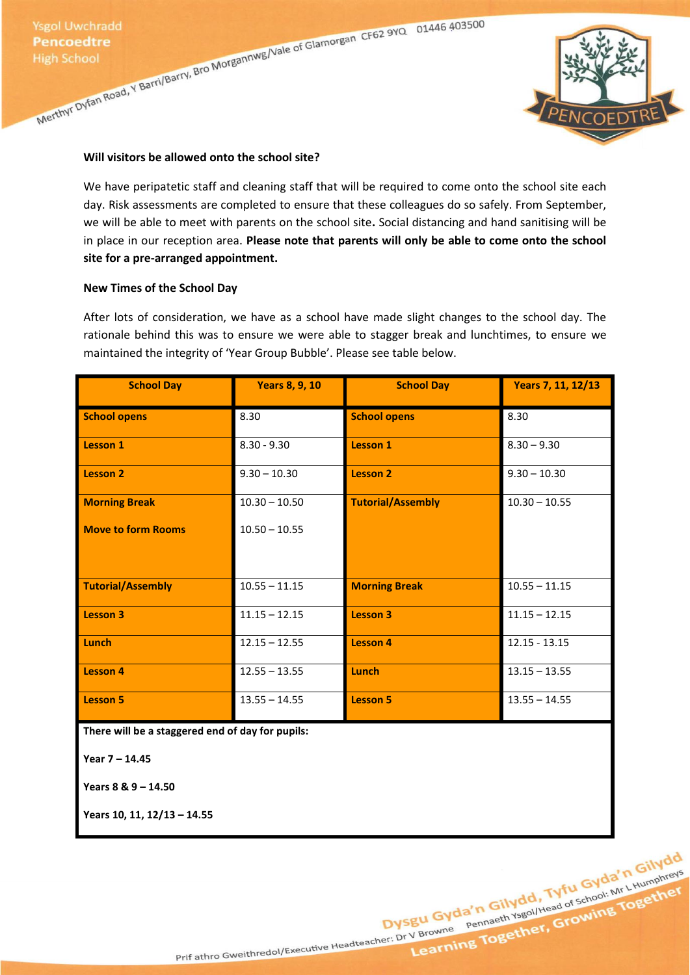

### **Will visitors be allowed onto the school site?**

We have peripatetic staff and cleaning staff that will be required to come onto the school site each day. Risk assessments are completed to ensure that these colleagues do so safely. From September, we will be able to meet with parents on the school site**.** Social distancing and hand sanitising will be in place in our reception area. **Please note that parents will only be able to come onto the school site for a pre-arranged appointment.**

### **New Times of the School Day**

After lots of consideration, we have as a school have made slight changes to the school day. The rationale behind this was to ensure we were able to stagger break and lunchtimes, to ensure we maintained the integrity of 'Year Group Bubble'. Please see table below.

| <b>School Day</b>                                | <b>Years 8, 9, 10</b> | <b>School Day</b>        | Years 7, 11, 12/13 |  |
|--------------------------------------------------|-----------------------|--------------------------|--------------------|--|
| <b>School opens</b>                              | 8.30                  | <b>School opens</b>      | 8.30               |  |
| Lesson 1                                         | $8.30 - 9.30$         | <b>Lesson 1</b>          | $8.30 - 9.30$      |  |
| <b>Lesson 2</b>                                  | $9.30 - 10.30$        | <b>Lesson 2</b>          | $9.30 - 10.30$     |  |
| <b>Morning Break</b>                             | $10.30 - 10.50$       | <b>Tutorial/Assembly</b> | $10.30 - 10.55$    |  |
| <b>Move to form Rooms</b>                        | $10.50 - 10.55$       |                          |                    |  |
| <b>Tutorial/Assembly</b>                         | $10.55 - 11.15$       | <b>Morning Break</b>     | $10.55 - 11.15$    |  |
| Lesson 3                                         | $11.15 - 12.15$       | <b>Lesson 3</b>          | $11.15 - 12.15$    |  |
| Lunch                                            | $12.15 - 12.55$       | <b>Lesson 4</b>          | $12.15 - 13.15$    |  |
| <b>Lesson 4</b>                                  | $12.55 - 13.55$       | Lunch                    | $13.15 - 13.55$    |  |
| <b>Lesson 5</b>                                  | $13.55 - 14.55$       | <b>Lesson 5</b>          | $13.55 - 14.55$    |  |
| There will be a staggered end of day for pupils: |                       |                          |                    |  |

**Year 7 – 14.45**

**Years 8 & 9 – 14.50**

**Years 10, 11, 12/13 – 14.55**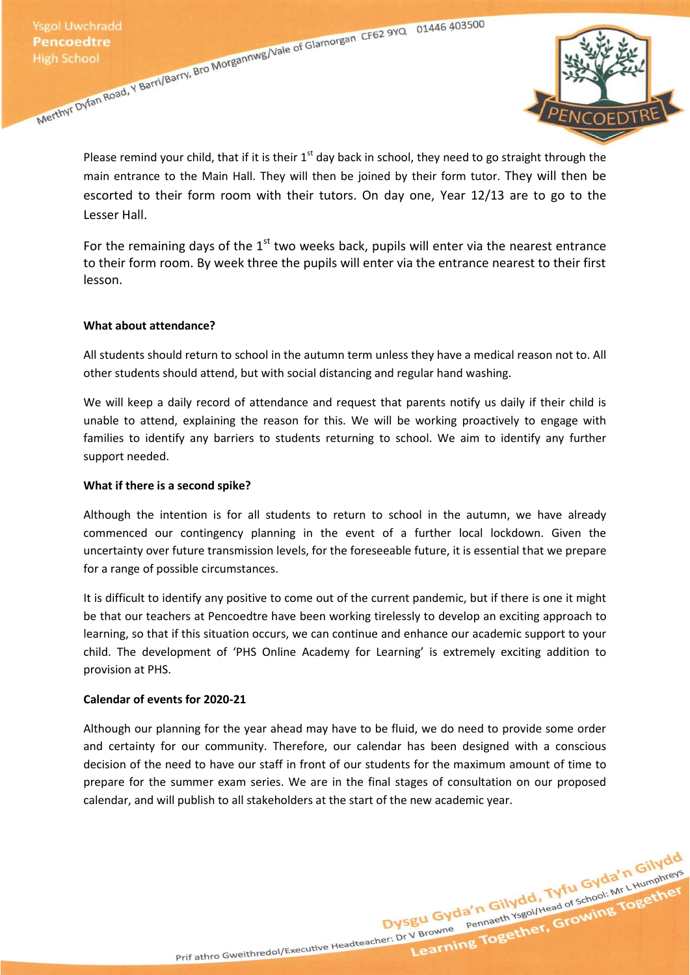

Please remind your child, that if it is their  $1<sup>st</sup>$  day back in school, they need to go straight through the main entrance to the Main Hall. They will then be joined by their form tutor. They will then be escorted to their form room with their tutors. On day one, Year 12/13 are to go to the Lesser Hall.

For the remaining days of the  $1<sup>st</sup>$  two weeks back, pupils will enter via the nearest entrance to their form room. By week three the pupils will enter via the entrance nearest to their first lesson.

### **What about attendance?**

All students should return to school in the autumn term unless they have a medical reason not to. All other students should attend, but with social distancing and regular hand washing.

We will keep a daily record of attendance and request that parents notify us daily if their child is unable to attend, explaining the reason for this. We will be working proactively to engage with families to identify any barriers to students returning to school. We aim to identify any further support needed.

### **What if there is a second spike?**

Although the intention is for all students to return to school in the autumn, we have already commenced our contingency planning in the event of a further local lockdown. Given the uncertainty over future transmission levels, for the foreseeable future, it is essential that we prepare for a range of possible circumstances.

It is difficult to identify any positive to come out of the current pandemic, but if there is one it might be that our teachers at Pencoedtre have been working tirelessly to develop an exciting approach to learning, so that if this situation occurs, we can continue and enhance our academic support to your child. The development of 'PHS Online Academy for Learning' is extremely exciting addition to provision at PHS.

### **Calendar of events for 2020-21**

Although our planning for the year ahead may have to be fluid, we do need to provide some order and certainty for our community. Therefore, our calendar has been designed with a conscious decision of the need to have our staff in front of our students for the maximum amount of time to prepare for the summer exam series. We are in the final stages of consultation on our proposed calendar, and will publish to all stakeholders at the start of the new academic year.

Dysgu Gyda'n Gilydd, Tyfu Gyda'n Gilydd<br>Dysgu Gyda'n Gilydd, Tyfu Gyda'n Gilydd<br>Dysgu Gyda'n Gilydd, Tyfu Gyda'n Gilydd<br>Pennaeth Ysgol/Head of School: Mr LHumphreys Prif athro Gweithredol/Executive Headteacher: Dr V Browne Pennaeth Ysgol/Head of School: Mr L Humphreys